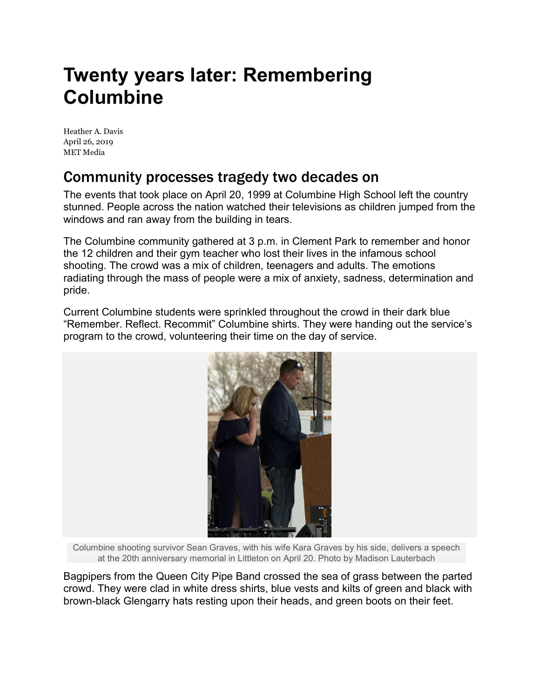## **Twenty years later: Remembering Columbine**

[Heather A. Davis](https://www.mymetmedia.com/author/heather-davis/) April 26, 2019 MET Media

## Community processes tragedy two decades on

The events that took place on April 20, 1999 at Columbine High School left the country stunned. People across the nation watched their televisions as children jumped from the windows and ran away from the building in tears.

The Columbine community gathered at 3 p.m. in Clement Park to remember and honor the 12 children and their gym teacher who lost their lives in the infamous school shooting. The crowd was a mix of children, teenagers and adults. The emotions radiating through the mass of people were a mix of anxiety, sadness, determination and pride.

Current Columbine students were sprinkled throughout the crowd in their dark blue "Remember. Reflect. Recommit" Columbine shirts. They were handing out the service's program to the crowd, volunteering their time on the day of service.



Columbine shooting survivor Sean Graves, with his wife Kara Graves by his side, delivers a speech at the 20th anniversary memorial in Littleton on April 20. Photo by Madison Lauterbach

Bagpipers from the Queen City Pipe Band crossed the sea of grass between the parted crowd. They were clad in white dress shirts, blue vests and kilts of green and black with brown-black Glengarry hats resting upon their heads, and green boots on their feet.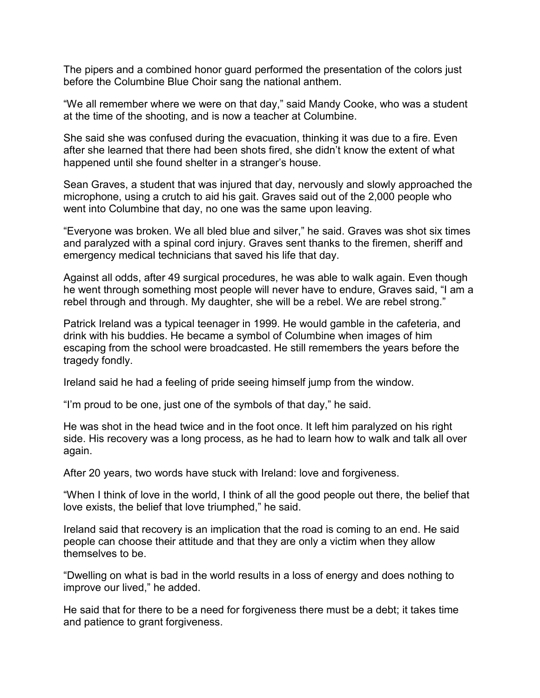The pipers and a combined honor guard performed the presentation of the colors just before the Columbine Blue Choir sang the national anthem.

"We all remember where we were on that day," said Mandy Cooke, who was a student at the time of the shooting, and is now a teacher at Columbine.

She said she was confused during the evacuation, thinking it was due to a fire. Even after she learned that there had been shots fired, she didn't know the extent of what happened until she found shelter in a stranger's house.

Sean Graves, a student that was injured that day, nervously and slowly approached the microphone, using a crutch to aid his gait. Graves said out of the 2,000 people who went into Columbine that day, no one was the same upon leaving.

"Everyone was broken. We all bled blue and silver," he said. Graves was shot six times and paralyzed with a spinal cord injury. Graves sent thanks to the firemen, sheriff and emergency medical technicians that saved his life that day.

Against all odds, after 49 surgical procedures, he was able to walk again. Even though he went through something most people will never have to endure, Graves said, "I am a rebel through and through. My daughter, she will be a rebel. We are rebel strong."

Patrick Ireland was a typical teenager in 1999. He would gamble in the cafeteria, and drink with his buddies. He became a symbol of Columbine when images of him escaping from the school were broadcasted. He still remembers the years before the tragedy fondly.

Ireland said he had a feeling of pride seeing himself jump from the window.

"I'm proud to be one, just one of the symbols of that day," he said.

He was shot in the head twice and in the foot once. It left him paralyzed on his right side. His recovery was a long process, as he had to learn how to walk and talk all over again.

After 20 years, two words have stuck with Ireland: love and forgiveness.

"When I think of love in the world, I think of all the good people out there, the belief that love exists, the belief that love triumphed," he said.

Ireland said that recovery is an implication that the road is coming to an end. He said people can choose their attitude and that they are only a victim when they allow themselves to be.

"Dwelling on what is bad in the world results in a loss of energy and does nothing to improve our lived," he added.

He said that for there to be a need for forgiveness there must be a debt; it takes time and patience to grant forgiveness.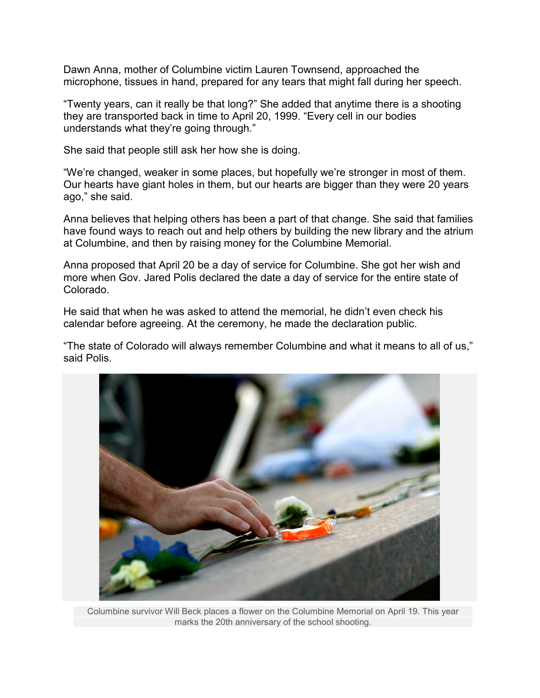Dawn Anna, mother of Columbine victim Lauren Townsend, approached the microphone, tissues in hand, prepared for any tears that might fall during her speech.

"Twenty years, can it really be that long?" She added that anytime there is a shooting they are transported back in time to April 20, 1999. "Every cell in our bodies understands what they're going through."

She said that people still ask her how she is doing.

"We're changed, weaker in some places, but hopefully we're stronger in most of them. Our hearts have giant holes in them, but our hearts are bigger than they were 20 years ago," she said.

Anna believes that helping others has been a part of that change. She said that families have found ways to reach out and help others by building the new library and the atrium at Columbine, and then by raising money for the Columbine Memorial.

Anna proposed that April 20 be a day of service for Columbine. She got her wish and more when Gov. Jared Polis declared the date a day of service for the entire state of Colorado.

He said that when he was asked to attend the memorial, he didn't even check his calendar before agreeing. At the ceremony, he made the declaration public.

"The state of Colorado will always remember Columbine and what it means to all of us," said Polis.



Columbine survivor Will Beck places a flower on the Columbine Memorial on April 19. This year marks the 20th anniversary of the school shooting.